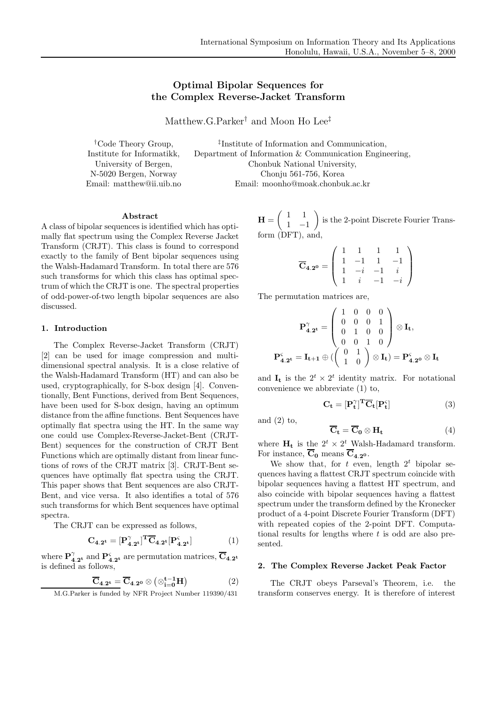# Optimal Bipolar Sequences for the Complex Reverse-Jacket Transform

Matthew.G.Parker† and Moon Ho Lee‡

†Code Theory Group, Institute for Informatikk, University of Bergen, N-5020 Bergen, Norway Email: matthew@ii.uib.no

‡ Institute of Information and Communication, Department of Information & Communication Engineering, Chonbuk National University, Chonju 561-756, Korea Email: moonho@moak.chonbuk.ac.kr

## Abstract

A class of bipolar sequences is identified which has optimally flat spectrum using the Complex Reverse Jacket Transform (CRJT). This class is found to correspond exactly to the family of Bent bipolar sequences using the Walsh-Hadamard Transform. In total there are 576 such transforms for which this class has optimal spectrum of which the CRJT is one. The spectral properties of odd-power-of-two length bipolar sequences are also discussed.

### 1. Introduction

The Complex Reverse-Jacket Transform (CRJT) [2] can be used for image compression and multidimensional spectral analysis. It is a close relative of the Walsh-Hadamard Transform (HT) and can also be used, cryptographically, for S-box design [4]. Conventionally, Bent Functions, derived from Bent Sequences, have been used for S-box design, having an optimum distance from the affine functions. Bent Sequences have optimally flat spectra using the HT. In the same way one could use Complex-Reverse-Jacket-Bent (CRJT-Bent) sequences for the construction of CRJT Bent Functions which are optimally distant from linear functions of rows of the CRJT matrix [3]. CRJT-Bent sequences have optimally flat spectra using the CRJT. This paper shows that Bent sequences are also CRJT-Bent, and vice versa. It also identifies a total of 576 such transforms for which Bent sequences have optimal spectra.

The CRJT can be expressed as follows,

$$
\mathbf{C}_{4.2^t} = [\mathbf{P}_{4.2^t}^{\gamma}]^T \overline{\mathbf{C}}_{4.2^t} [\mathbf{P}_{4.2^t}^{\varsigma}] \tag{1}
$$

where  $\mathbf{P}_{4.2^{\mathbf{t}}}^{\gamma}$  and  $\mathbf{P}_{4.2^{\mathbf{t}}}^{\varsigma}$  are permutation matrices,  $\overline{\mathbf{C}}_{4.2^{\mathbf{t}}}$ is defined as follows,

$$
\overline{\mathbf{C}}_{4.2^t} = \overline{\mathbf{C}}_{4.2^0} \otimes (\otimes_{i=0}^{t-1} \mathbf{H}) \tag{2}
$$

M.G.Parker is funded by NFR Project Number 119390/431

 $H = \begin{pmatrix} 1 & 1 \ 1 & 1 \end{pmatrix}$  $\frac{1}{1}$   $\frac{-1}{1}$  is the 2-point Discrete Fourier Transform (DFT), and,

$$
\overline{\mathbf{C}}_{4.2^0} = \left( \begin{array}{rrrr} 1 & 1 & 1 & 1 \\ 1 & -1 & 1 & -1 \\ 1 & -i & -1 & i \\ 1 & i & -1 & -i \end{array} \right)
$$

The permutation matrices are,

$$
\mathbf{P}_{4.2^t}^{\gamma} = \begin{pmatrix} 1 & 0 & 0 & 0 \\ 0 & 0 & 0 & 1 \\ 0 & 1 & 0 & 0 \\ 0 & 0 & 1 & 0 \end{pmatrix} \otimes \mathbf{I_t},
$$

$$
\mathbf{P}_{4.2^t}^{\varsigma} = \mathbf{I_{t+1}} \oplus \begin{pmatrix} 0 & 1 \\ 1 & 0 \end{pmatrix} \otimes \mathbf{I_t} = \mathbf{P}_{4.2^0}^{\varsigma} \otimes \mathbf{I_t}
$$

and  $\mathbf{I}_t$  is the  $2^t \times 2^t$  identity matrix. For notational convenience we abbreviate (1) to,

$$
\mathbf{C}_{\mathbf{t}} = [\mathbf{P}_{\mathbf{t}}^{\gamma}]^{\mathbf{T}} \overline{\mathbf{C}}_{\mathbf{t}} [\mathbf{P}_{\mathbf{t}}^{\varsigma}] \tag{3}
$$

and  $(2)$  to,

$$
\overline{\mathbf{C}}_{\mathbf{t}} = \overline{\mathbf{C}}_{\mathbf{0}} \otimes \mathbf{H}_{\mathbf{t}} \tag{4}
$$

where  $H_t$  is the  $2^t \times 2^t$  Walsh-Hadamard transform. For instance,  $\overline{C}_0$  means  $\overline{C}_4$  2<sup>0</sup>.

We show that, for  $t$  even, length  $2^t$  bipolar sequences having a flattest CRJT spectrum coincide with bipolar sequences having a flattest HT spectrum, and also coincide with bipolar sequences having a flattest spectrum under the transform defined by the Kronecker product of a 4-point Discrete Fourier Transform (DFT) with repeated copies of the 2-point DFT. Computational results for lengths where  $t$  is odd are also presented.

### 2. The Complex Reverse Jacket Peak Factor

The CRJT obeys Parseval's Theorem, i.e. the transform conserves energy. It is therefore of interest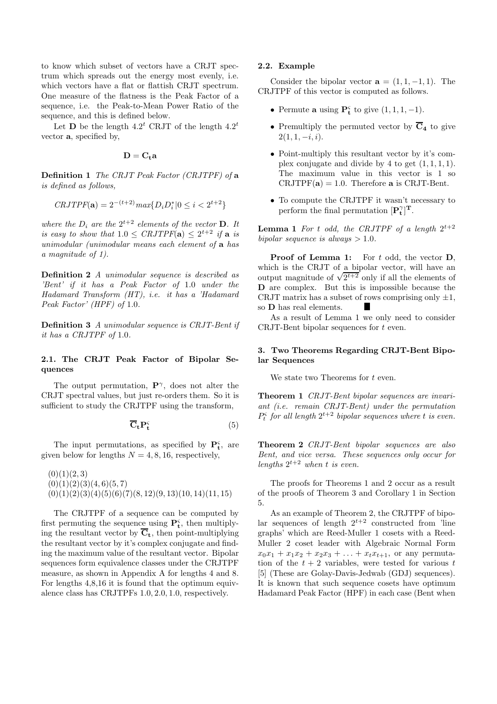to know which subset of vectors have a CRJT spectrum which spreads out the energy most evenly, i.e. which vectors have a flat or flattish CRJT spectrum. One measure of the flatness is the Peak Factor of a sequence, i.e. the Peak-to-Mean Power Ratio of the sequence, and this is defined below.

Let **D** be the length  $4.2^t$  CRJT of the length  $4.2^t$ vector a, specified by,

$$
\mathbf{D}=\mathbf{C}_{\mathbf{t}}\mathbf{a}
$$

Definition 1 The CRJT Peak Factor (CRJTPF) of a is defined as follows,

$$
CRJTPF(\mathbf{a}) = 2^{-(t+2)} \max\{D_i D_i^* | 0 \le i < 2^{t+2}\}
$$

where the  $D_i$  are the  $2^{t+2}$  elements of the vector **D**. It is easy to show that  $1.0 \leq \text{CRJTPF}(\mathbf{a}) \leq 2^{t+2}$  if  $\mathbf{a}$  is unimodular (unimodular means each element of a has a magnitude of 1).

Definition 2 A unimodular sequence is described as 'Bent' if it has a Peak Factor of 1.0 under the Hadamard Transform (HT), i.e. it has a 'Hadamard Peak Factor' (HPF) of 1.0.

Definition 3 A unimodular sequence is CRJT-Bent if it has a CRJTPF of 1.0.

## 2.1. The CRJT Peak Factor of Bipolar Sequences

The output permutation,  $\mathbf{P}^{\gamma}$ , does not alter the CRJT spectral values, but just re-orders them. So it is sufficient to study the CRJTPF using the transform,

$$
\overline{\mathbf{C}}_{\mathbf{t}} \mathbf{P}_{\mathbf{t}}^{\varsigma} \tag{5}
$$

The input permutations, as specified by  $\mathbf{P}_{t}^{\varsigma}$ , are given below for lengths  $N = 4, 8, 16$ , respectively,

 $(0)(1)(2, 3)$  $(0)(1)(2)(3)(4, 6)(5, 7)$  $(0)(1)(2)(3)(4)(5)(6)(7)(8,12)(9,13)(10,14)(11,15)$ 

The CRJTPF of a sequence can be computed by first permuting the sequence using  $\mathbf{P_t^s}$ , then multiplying the resultant vector by  $\overline{C}_t$ , then point-multiplying the resultant vector by it's complex conjugate and finding the maximum value of the resultant vector. Bipolar sequences form equivalence classes under the CRJTPF measure, as shown in Appendix A for lengths 4 and 8. For lengths 4,8,16 it is found that the optimum equivalence class has CRJTPFs 1.0, 2.0, 1.0, respectively.

#### 2.2. Example

Consider the bipolar vector  $\mathbf{a} = (1, 1, -1, 1)$ . The CRJTPF of this vector is computed as follows.

- Permute **a** using  $\mathbf{P_t^s}$  to give  $(1, 1, 1, -1)$ .
- Premultiply the permuted vector by  $\overline{C}_4$  to give  $2(1, 1, -i, i).$
- Point-multiply this resultant vector by it's complex conjugate and divide by 4 to get  $(1, 1, 1, 1)$ . The maximum value in this vector is 1 so  $CRJTPF(a) = 1.0$ . Therefore a is CRJT-Bent.
- To compute the CRJTPF it wasn't necessary to perform the final permutation  $[\mathbf{P}_{\mathbf{t}}^{\gamma}]^{\mathbf{T}}$ .

**Lemma 1** For t odd, the CRJTPF of a length  $2^{t+2}$ bipolar sequence is always  $> 1.0$ .

Proof of Lemma 1: For t odd, the vector D, which is the CRJT of a bipolar vector, will have an which is the CRS 1 of  $\frac{a}{2^{t+2}}$  only if all the elements of D are complex. But this is impossible because the CRJT matrix has a subset of rows comprising only  $\pm 1$ ,<br>so **D** has real elements so D has real elements.

As a result of Lemma 1 we only need to consider CRJT-Bent bipolar sequences for t even.

### 3. Two Theorems Regarding CRJT-Bent Bipolar Sequences

We state two Theorems for  $t$  even.

Theorem 1 CRJT-Bent bipolar sequences are invariant (i.e. remain CRJT-Bent) under the permutation  $P_t^{\varsigma}$  for all length  $2^{t+2}$  bipolar sequences where t is even.

Theorem 2 CRJT-Bent bipolar sequences are also Bent, and vice versa. These sequences only occur for lengths  $2^{t+2}$  when t is even.

The proofs for Theorems 1 and 2 occur as a result of the proofs of Theorem 3 and Corollary 1 in Section 5.

As an example of Theorem 2, the CRJTPF of bipolar sequences of length  $2^{t+2}$  constructed from 'line graphs' which are Reed-Muller 1 cosets with a Reed-Muller 2 coset leader with Algebraic Normal Form  $x_0x_1 + x_1x_2 + x_2x_3 + \ldots + x_tx_{t+1}$ , or any permutation of the  $t + 2$  variables, were tested for various t [5] (These are Golay-Davis-Jedwab (GDJ) sequences). It is known that such sequence cosets have optimum Hadamard Peak Factor (HPF) in each case (Bent when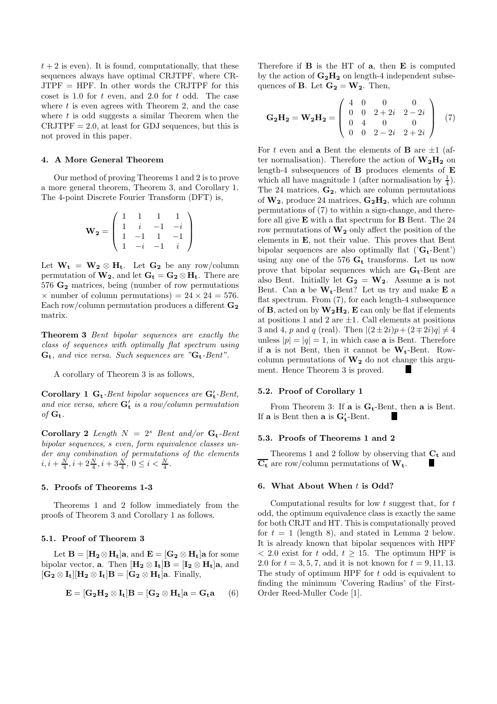$t + 2$  is even). It is found, computationally, that these sequences always have optimal CRJTPF, where CR-JTPF = HPF. In other words the CRJTPF for this coset is 1.0 for  $t$  even, and 2.0 for  $t$  odd. The case where  $t$  is even agrees with Theorem 2, and the case where  $t$  is odd suggests a similar Theorem when the  $CRJTPF = 2.0$ , at least for GDJ sequences, but this is not proved in this paper.

#### 4. A More General Theorem

Our method of proving Theorems 1 and 2 is to prove a more general theorem, Theorem 3, and Corollary 1. The 4-point Discrete Fourier Transform (DFT) is,

$$
\mathbf{W_2} = \left( \begin{array}{rrrr} 1 & 1 & 1 & 1 \\ 1 & i & -1 & -i \\ 1 & -1 & 1 & -1 \\ 1 & -i & -1 & i \end{array} \right)
$$

Let  $W_t = W_2 \otimes H_t$ . Let  $G_2$  be any row/column permutation of  $\mathbf{W_2}$ , and let  $\mathbf{G_t} = \mathbf{G_2} \otimes \mathbf{H_t}$ . There are  $576 \text{ G}_2$  matrices, being (number of row permutations  $\times$  number of column permutations) = 24  $\times$  24 = 576. Each row/column permutation produces a different  $\mathbf{G}_2$ matrix.

Theorem 3 Bent bipolar sequences are exactly the class of sequences with optimally flat spectrum using  $G_t$ , and vice versa. Such sequences are " $G_t$ -Bent".

A corollary of Theorem 3 is as follows,

Corollary 1  $G_t$ -Bent bipolar sequences are  $G'_t$ -Bent, and vice versa, where  $G'_{t}$  is a row/column permutation of  $G_t$ .

Corollary 2 Length  $N = 2<sup>s</sup>$  Bent and/or  $G_t$ -Bent bipolar sequences, s even, form equivalence classes under any combination of permutations of the elements  $i, i + \frac{N}{4}, i + 2\frac{N}{4}, i + 3\frac{N}{4}, 0 \leq i < \frac{N}{4}.$ 

### 5. Proofs of Theorems 1-3

Theorems 1 and 2 follow immediately from the proofs of Theorem 3 and Corollary 1 as follows.

#### 5.1. Proof of Theorem 3

Let  $B = [H_2 \otimes H_t]a$ , and  $E = [G_2 \otimes H_t]a$  for some bipolar vector, **a**. Then  $[\mathbf{H}_2 \otimes \mathbf{I}_t] \mathbf{B} = [\mathbf{I}_2 \otimes \mathbf{H}_t] \mathbf{a}$ , and  $[G_2 \otimes I_t] [H_2 \otimes I_t] B = [G_2 \otimes H_t] a.$  Finally,

$$
\mathbf{E} = [\mathbf{G}_2 \mathbf{H}_2 \otimes \mathbf{I}_t] \mathbf{B} = [\mathbf{G}_2 \otimes \mathbf{H}_t] \mathbf{a} = \mathbf{G}_t \mathbf{a} \qquad (6)
$$

Therefore if  $\bf{B}$  is the HT of  $\bf{a}$ , then  $\bf{E}$  is computed by the action of  $G_2H_2$  on length-4 independent subsequences of **B**. Let  $G_2 = W_2$ . Then,

$$
\mathbf{G_2H_2} = \mathbf{W_2H_2} = \begin{pmatrix} 4 & 0 & 0 & 0 \\ 0 & 0 & 2+2i & 2-2i \\ 0 & 4 & 0 & 0 \\ 0 & 0 & 2-2i & 2+2i \end{pmatrix}
$$
 (7)

For t even and a Bent the elements of **B** are  $\pm 1$  (after normalisation). Therefore the action of  $\mathbf{W}_2\mathbf{H}_2$  on length-4 subsequences of B produces elements of E which all have magnitude 1 (after normalisation by  $\frac{1}{4}$ ). The 24 matrices,  $G_2$ , which are column permutations of  $W_2$ , produce 24 matrices,  $G_2H_2$ , which are column permutations of (7) to within a sign-change, and therefore all give E with a flat spectrum for B Bent. The 24 row permutations of  $W_2$  only affect the position of the elements in E, not their value. This proves that Bent bipolar sequences are also optimally flat ( $'G_t$ -Bent') using any one of the 576  $G_t$  transforms. Let us now prove that bipolar sequences which are  $G_t$ -Bent are also Bent. Initially let  $G_2 = W_2$ . Assume a is not Bent. Can **a** be  $W_t$ -Bent? Let us try and make **E** a flat spectrum. From  $(7)$ , for each length-4 subsequence of **B**, acted on by  $W_2H_2$ , **E** can only be flat if elements at positions 1 and 2 are  $\pm 1$ . Call elements at positions 3 and 4, p and q (real). Then  $|(2\pm 2i)p+(2\mp 2i)q|\neq 4$ unless  $|p| = |q| = 1$ , in which case **a** is Bent. Therefore if a is not Bent, then it cannot be  $W_t$ -Bent. Rowcolumn permutations of  $W_2$  do not change this argument. Hence Theorem 3 is proved.

### 5.2. Proof of Corollary 1

From Theorem 3: If  $\mathbf{a}$  is  $\mathbf{G}_t$ -Bent, then  $\mathbf{a}$  is Bent. If **a** is Bent then **a** is  $G'_t$ -Bent.

### 5.3. Proofs of Theorems 1 and 2

Theorems 1 and 2 follow by observing that  $\mathbf{C}_{\mathbf{t}}$  and  $\overline{C_t}$  are row/column permutations of  $W_t$ .

#### 6. What About When t is Odd?

Computational results for low  $t$  suggest that, for  $t$ odd, the optimum equivalence class is exactly the same for both CRJT and HT. This is computationally proved for  $t = 1$  (length 8), and stated in Lemma 2 below. It is already known that bipolar sequences with HPF  $< 2.0$  exist for t odd,  $t \geq 15$ . The optimum HPF is 2.0 for  $t = 3, 5, 7$ , and it is not known for  $t = 9, 11, 13$ . The study of optimum HPF for  $t$  odd is equivalent to finding the minimum 'Covering Radius' of the First-Order Reed-Muller Code [1].